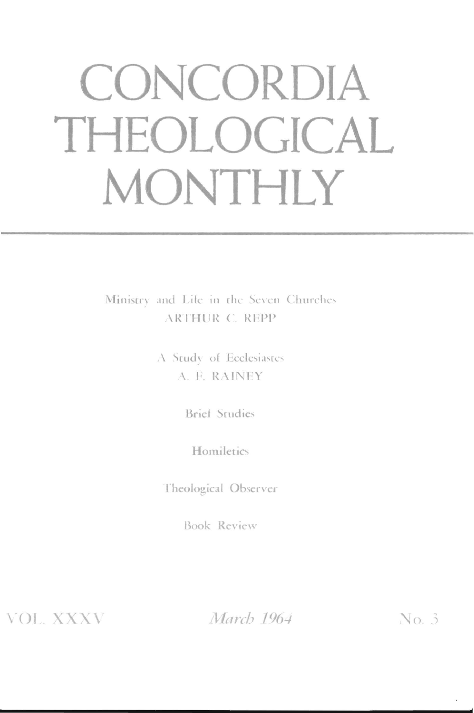# **CONCORDIA THEOLOGICAL MONTHLY**

Ministry and Life in the Seven Churches ARTHUR C. REPP

> $\Lambda$  Study of Ecclesiastes A. F. RAINEY

> > Brief Studies

**Homiletics** 

rheological Observer

Book Review

**VOL. XXXV** 

March 1964

 $No.3$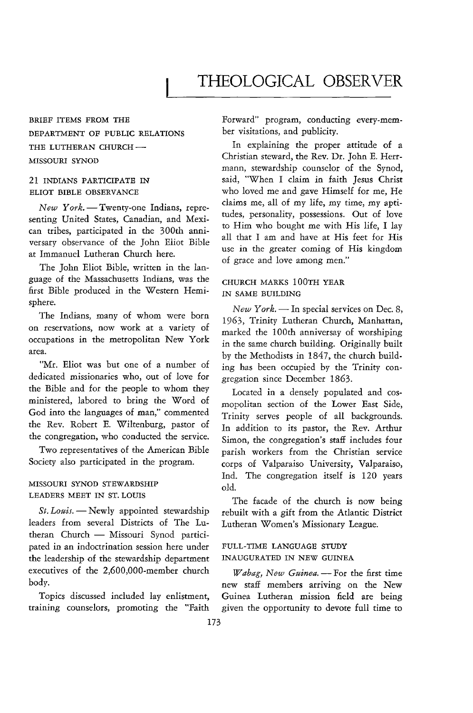# THEOLOGICAL OBSERVER

## BRIEF ITEMS FROM *THE*  DEPARTMENT OF PUBLIC RELATIONS THE LUTHERAN CHURCH-MISSOURI SYNOD

#### 21 INDIANS PARTICIPATE IN ELIOT BIBLE OBSERVANCE

*New York.* - Twenty-one Indians, representing United States, Canadian, and Mexican tribes, participated in the 300th anniversary observance of the John Eliot Bible at Immanuel Lutheran Church here.

The John Eliot Bible, written in the language of the Massachusetts Indians, was the first Bible produced in the Western Hemisphere.

The Indians, many of whom were born on reservations, now work at a variety of occupations in the metropolitan New York area.

"Mr. Eliot was but one of a number of dedicated missionaries who, out of love for the Bible and for the people to whom they ministered, labored to bring the Word of God into the languages of man," commented the Rev. Robert E. Wiltenburg, pastor of the congregation, who conducted the service.

Two representatives of the American Bible Society also participated in the program.

#### MISSOURI SYNOD STEWARDSHIP LEADERS *MEET* IN ST. LOUIS

*St. Louis.* - Newly appointed stewardship leaders from several Districts of The Lutheran Church - Missouri Synod participated in an indoctrination session here under the leadership of the stewardship department executives of the 2,600,OOO-member church body.

Topics discussed included lay enlistment, training counselors, promoting the "Faith Forward" program, conducting every-member visitations, and publicity.

In explaining the proper attitude of a Christian steward, the Rev. Dr. John E. Herrmann, stewardship counselor of the Synod, said, "When I claim in faith Jesus Christ who loved me and gave Himself for me, He claims me, all of my life, my time, my aptitudes, personality, possessions. Out of love to Him who bought me with His life, I lay all that I am and have at His feet for His use in the greater coming of His kingdom of grace and love among men."

#### CHURCH MARKS lOOTH YEAR IN SAME BUILDING

*New York.* - In special services on Dec. 8, 1963, Trinity Lutheran Church, Manhattan, marked the 100th anniversay of worshiping in the same church building. Originally built by the Methodists in 1847, the church building has been occupied by the Trinity congregation since December 1863.

Located in a densely populated and cosmopolitan section of the Lower East Side, Trinity serves people of all backgrounds. In addition to its pastor, the Rev. Arthur Simon, the congregation's staff includes four parish workers from the Christian service corps of Valparaiso University, Valparaiso, Ind. The congregation itself is 120 years old.

The facade of the church *is* now being rebuilt with a gift from the Atlantic District Lutheran Women's Missionary League.

#### FULL-TIME LANGUAGE STUDY INAUGURATED IN NEW GUINEA

*Wabag, New Guinea.* - For the first time new staff members arriving on the New Guinea Lutheran mission field are being given the opportunity to devote full time to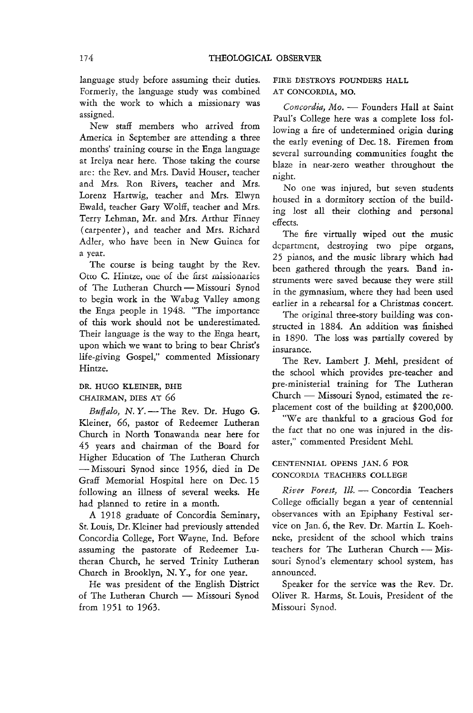language study before assuming their duties. Formerly, the language study was combined with the work to which a missionary was assigned.

New staff members who arrived from America in September are attending a three months' training course in the Enga language at Irelya near here. Those taking the course are: the Rev. and Mrs. David Houser, teacher and Mrs. Ron Rivers, teacher and Mrs. Lorenz Hartwig, teacher and Mrs. Elwyn Ewald, teacher Gary Wolff, teacher and Mrs. Terry Lehman, Mr. and Mrs. Arthur Finney ( carpenter), and teacher and Mrs. Richard Adler, who have been in New Guinea for a year.

The course is being taught by the Rev. Otto C. Hintze, one of the first missionaries of The Lutheran Church - Missouri Synod to begin work in the Wabag Valley among the Enga people in 1948. "The importance of this work should not be underestimated. Their language is the way to the Enga heart, upon which we want to bring to bear Christ's life-giving Gospel," commented Missionary Hintze.

#### DR. HUGO KLEINER, BHE CHAIRMAN, DIES AT 66

*Buffalo,* N. *Y.* - The Rev. Dr. Hugo G. Kleiner, 66, pastor of Redeemer Lutheran Church in North Tonawanda near here for 45 years and chairman of the Board for Higher Education of The Lutheran Church -Missouri Synod since 1956, died in De Graff Memorial Hospital here on Dec. 15 following an illness of several weeks. He had planned to retire in a month.

A 1918 graduate of Concordia Seminary, St. Louis, Dr. Kleiner had previously attended Concordia College, Fort Wayne, Ind. Before assuming the pastorate of Redeemer Lutheran Church, he served Trinity Lutheran Church in Brooklyn, N. Y., for one year.

He was president of the English District of The Lutheran Church - Missouri Synod from 1951 to 1963.

FIRE DESTROYS FOUNDERS HALL AT CONCORDIA, MO.

Concordia, Mo. - Founders Hall at Saint Paul's College here was a complete loss following a fire of undetermined origin during the early evening of Dec. 18. Firemen from several surrounding communities fought the blaze in near-zero weather throughout the night.

No one was injured, but seven students housed in a dormitory section of the building lost all their clothing and personal effects.

The fire virtually wiped out the music **departmcntJ destroying two** pipe **organs,**  25 pianos, and the music library which had been gathered through the years. Band instruments were saved because they were still in the gymnasium, where they had been used earlier in a rehearsal for a Christmas concert.

The original three-story building was constructed in 1884. An addition was finished in 1890. The loss was partially covered by insurance.

The Rev. Lambert J. Mehl, president of the school which provides pre-teacher and pre-ministerial training for The Lutheran Church - Missouri Synod, estimated the replacement cost of the building at \$200,000.

"Weare thankful to a gracious God for the fact that no one was injured in the disaster," commented President Meh!.

#### CENTENNIAL OPENS JAN. 6 FOR CONCORDIA TEACHERS COLLEGE

*River Forest, Ill.* - Concordia Teachers College officially began a year of centennial observances with an Epiphany Festival service on Jan. 6, the Rev. Dr. Martin L. Koehneke, president of the school which trains teachers for The Lutheran Church - Missouri Synod's elementary school system, has announced.

Speaker for the service was the Rev. Dr. Oliver R. Harms, St. Louis, President of the Missouri Synod.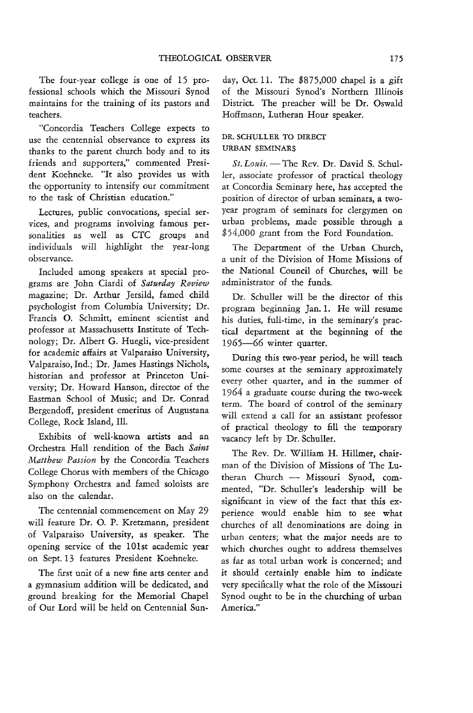The four-year college is one of 15 professional schools which the Missouri Synod maintains for the training of its pastors and teachers.

"Concordia Teachers College expects to use the centennial observance to express its thanks to the parent church body and to its friends and supporters," commented President Koehneke. "It also provides us with the opportunity to intensify our commitment to the task of Christian education."

Lectures, public convocations, special services, and programs involving famous personalities as well as CTC groups and individuals will highlight the year-long observance.

Included among speakers at special programs are John Ciardi of *Saturday Review*  magazine; Dr. Arthur Jersild, famed child psychologist from Columbia University; Dr. Francis O. Schmitt, eminent scientist and professor at Massachusetts Institute of Technology; Dr. Albert G. Huegli, vice-president for academic affairs at Valparaiso University, Valparaiso, Ind.; Dr. James Hastings Nichols, historian and professor at Princeton University; Dr. Howard Hanson, director of the Eastman School of Music; and Dr. Conrad Bergendoff, president emeritus of Augustana College, Rock Island, Ill.

Exhibits of well-known artists and an Orchestra Hall rendition of the Bach *Saint Matthew Passion* by the Concordia Teachers College Chorus with members of the Chicago Symphony Orchestra and famed soloists are also on the calendar.

The centennial commencement on May 29 will feature Dr. O. P. Kretzmann, president of Valparaiso University, as speaker. The opening service of the lOIst academic year on Sept. 13 features President Koehneke.

The first unit of a new fine arts center and a gymnasium addition will be dedicated, and ground breaking for the Memorial Chapel of Our Lord will be held on Centennial Sunday, Oct. II. The \$875,000 chapel is a gift of the Missouri Synod's Northern Illinois District. The preacher will be Dr. Oswald Hoffmann, Lutheran Hour speaker.

#### DR. SCHULLER TO DIRECT URBAN SEMINARS

 $St.$  Louis. - The Rev. Dr. David S. Schuller, associate professor of practical theology at Concordia Seminary here, has accepted the position of director of urban seminars, a twoyear program of seminars for clergymen on urban problems, made possible through a \$54,000 grant from the Ford Foundation,

The Department of the Urban Church, a unit of the Division of Home Missions of the National Council of Churches, will be administrator of the funds.

Dr. Schuller will be the director of this program beginning Jan, 1. He will resume his duties, full-time, in the seminary's practical department at the beginning of the 1965-66 winter quarter.

During this two-year period, he will teach some courses at the seminary approximately every other quarter, and in the summer of 1964 a graduate course during the two-week term. The board of control of the seminary will extend a call for an assistant professor of practical theology to fill the temporary vacancy left by Dr. Schuller.

The Rev. Dr. William H. Hillmer, chairman of the Division of Missions of The Lutheran Church - Missouri Synod, commented, "Dr. Schuller's leadership will be significant in view of the fact that *this* experience would enable him to see what churches of all denominations are doing in urban centers; what the major needs are to which churches ought to address themselves as far as total urban work is concerned; and it should certainly enable him to indicate very specifically what the role of the Missouri Synod ought to be in the churching of urban America."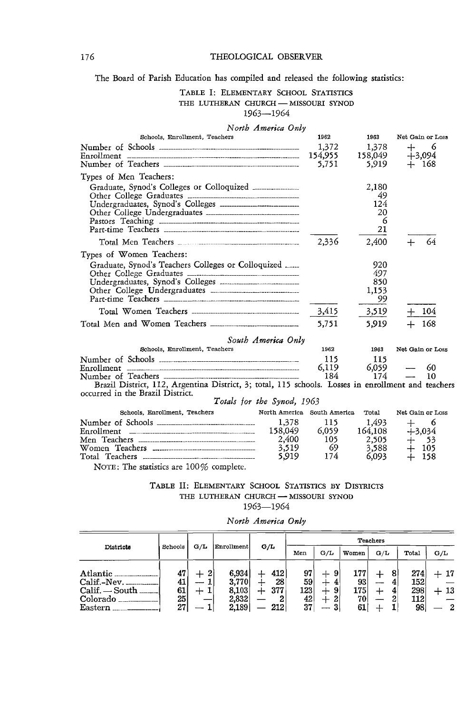#### 176 THEOLOGICAL OBSERVER

The Board of Parish Education has compiled and released the following statistics:

# TABLE I: ELEMENTARY SCHOOL STATISTICS

THE LUTHERAN CHURCH-MISSOURI SYNOD

## 1963-1964

|                                                                                                                                        | North America Only          |                                        |         |                  |       |
|----------------------------------------------------------------------------------------------------------------------------------------|-----------------------------|----------------------------------------|---------|------------------|-------|
| Schools, Enrollment, Teachers                                                                                                          |                             | 1962                                   | 1963    | Net Gain or Loss |       |
|                                                                                                                                        |                             | 1.372                                  | 1.378   | ┿                | 6     |
|                                                                                                                                        |                             | 154,955                                | 158,049 | $+3.094$         |       |
|                                                                                                                                        |                             | 5,751                                  | 5,919   | $+$ 168          |       |
| Types of Men Teachers:                                                                                                                 |                             |                                        |         |                  |       |
| Graduate, Synod's Colleges or Colloquized _______________                                                                              |                             |                                        | 2,180   |                  |       |
|                                                                                                                                        |                             |                                        | 49      |                  |       |
|                                                                                                                                        |                             |                                        | 124     |                  |       |
|                                                                                                                                        |                             |                                        | 20<br>6 |                  |       |
|                                                                                                                                        |                             |                                        | 21      |                  |       |
|                                                                                                                                        |                             |                                        |         |                  |       |
|                                                                                                                                        |                             | 2,336                                  | 2,400   |                  | 64    |
| Types of Women Teachers:                                                                                                               |                             |                                        |         |                  |       |
| Graduate, Synod's Teachers Colleges or Colloquized                                                                                     |                             |                                        | 920     |                  |       |
|                                                                                                                                        |                             |                                        | 497     |                  |       |
|                                                                                                                                        |                             |                                        | 850     |                  |       |
|                                                                                                                                        |                             |                                        | 1,153   |                  |       |
|                                                                                                                                        |                             |                                        | 99      |                  |       |
|                                                                                                                                        |                             | 3,415                                  | 3,519   | $+$ 104          |       |
|                                                                                                                                        |                             | 5,751                                  | 5.919   |                  | -168  |
|                                                                                                                                        | South America Only          |                                        |         |                  |       |
| Schools, Enrollment, Teachers                                                                                                          |                             | 1962                                   | 1963    | Net Gain or Loss |       |
|                                                                                                                                        |                             | 115                                    | 115     |                  |       |
|                                                                                                                                        |                             | 6,119                                  | 6.059   |                  | 60    |
|                                                                                                                                        |                             | 184                                    | 174     |                  | 10    |
| Brazil District, 112, Argentina District, 3; total, 115 schools. Losses in enrollment and teachers<br>occurred in the Brazil District. |                             |                                        |         |                  |       |
|                                                                                                                                        | Totals for the Synod, 1963  |                                        |         |                  |       |
| Schools, Enrollment, Teachers                                                                                                          | North America South America |                                        | Total   | Net Gain or Loss |       |
|                                                                                                                                        | 1,378                       | 115                                    | 1.493   | $+$              | 6     |
|                                                                                                                                        |                             |                                        | 164,108 | $+3,034$         |       |
|                                                                                                                                        |                             | 158,049 6,059<br>2,400 105<br>3,519 69 | 2,505   | $+$ 53           |       |
|                                                                                                                                        |                             |                                        | 3.588   |                  | - 105 |
|                                                                                                                                        | 5,919                       | 174                                    | 6,093   |                  | 158   |
| NOTE: The statistics are $100\%$ complete.                                                                                             |                             |                                        |         |                  |       |

# TABLE II: ELEMENTARY SCHOOL STATISTICS BY DISTRICTS THE LUTHERAN CHURCH - MISSOURI SYNOD

1963-1964

| Districts                                                          | Schools                    |               | G/L<br>Enrollment                         | G/L                               | <b>Teachers</b>             |                                         |                               |             |                                |                          |  |
|--------------------------------------------------------------------|----------------------------|---------------|-------------------------------------------|-----------------------------------|-----------------------------|-----------------------------------------|-------------------------------|-------------|--------------------------------|--------------------------|--|
|                                                                    |                            |               |                                           |                                   | Men                         | G/L                                     | Women                         | G/L         | Total                          | G/L                      |  |
| Atlantic<br>Calif.-Nev.<br>$Calif. - South$<br>Colorado<br>Eastern | 47<br>41<br>61<br>25<br>27 | 2<br>---<br>┷ | 6,934<br>3,770<br>8,103<br>2,832<br>2,189 | 412<br>28<br>377<br>┄<br>2<br>212 | 97<br>59<br>123<br>42<br>37 | 9<br>--<br>ᅩ<br>9<br>ᆠ<br>2<br>31<br>-- | 177<br>93<br>175 <br>70<br>61 | 8<br>┻<br>2 | 274<br>152<br>298<br>112<br>98 | 17<br>13<br>$\mathbf{2}$ |  |

#### *North America Only*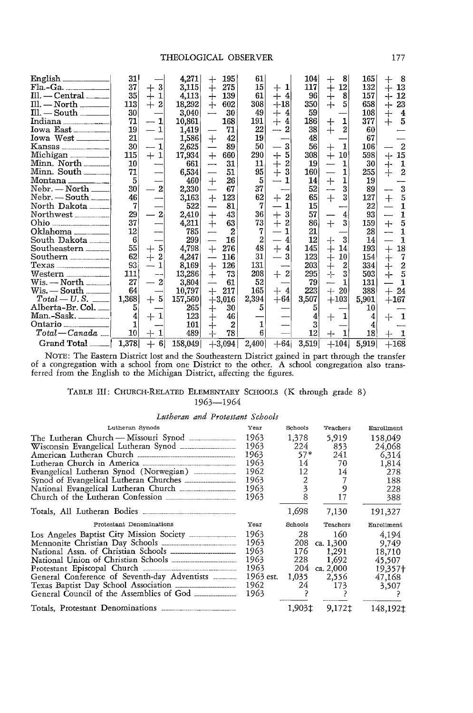| Fla.-Ga.<br>$III. - Central$<br>Ill. — North ________<br>$III. - South$<br>Indiana<br>Iowa East_______<br>Kansas<br>Michigan<br>Minn, North<br>$Minn. South$ <sub>_______</sub><br>$Nebr. - North$<br>$Nebr. - South 1$<br>North Dakota ______<br>Northwest<br>Oklahoma<br>South Dakota<br>Southern | 31<br>37<br>35<br>113<br>30<br>71<br>19<br>21<br>30<br>115<br>10<br>71<br>5<br>30<br>46<br>7<br>29<br>37<br>12<br>6<br>55<br>62 | 3<br>$+$<br>1<br>$\overline{+}$<br>$+$<br>$\overline{2}$<br>1<br>$+1$<br>$\overline{2}$<br>$\overline{2}$<br>5<br>$\hspace{0.1mm} +$<br>2<br>$+$ | 4,271<br>3,115<br>4,113<br>18,292<br>3,040<br>10,861<br>1,419<br>1,586<br>2,625<br>17,934<br>661<br>6,534<br>460<br>2,330<br>3,163<br>522<br>2,410<br>4,211<br>785<br>299<br>4,798<br>4,247 | ┿<br>$+$<br>$\, +$<br>┿<br>----<br>$\hspace{0.1mm} +$<br>$+$<br>------<br>$^+$<br>and and street of the con-<br>$\div$<br>—<br>$+$<br>$^{+}$<br>$+$<br>$\overline{\phantom{0}}$ | 195<br>275<br>139<br>602<br>30<br>168<br>71<br>42<br>89<br>660<br>31<br>51<br>26<br>67<br>123<br>81<br>43<br>63<br>$\mathbf{2}$<br>16<br>276<br>116 | 61<br>15<br>61<br>308<br>49<br>191<br>22<br>19<br>50<br>290<br>11<br>95<br>5<br>37<br>62<br>7<br>36<br>73<br>7<br>$\overline{2}$<br>48<br>31 | $+1$<br>$+4$<br>$+18$<br>4<br>┽<br>$\overline{+}$<br>4<br>2<br>3<br>5<br>$+$<br>2<br>キ<br>3<br>$\overline{2}$<br>┿<br>3<br>$\mathrm{+}$<br>2<br>$+$<br>4<br>$+$<br>4<br>3 | 104<br>117<br>96<br>350<br>59<br>186<br>38<br>48<br>56<br>308<br>19<br>160<br>14<br>52<br>65<br>15<br>57<br>86<br>21<br>12<br>145<br>123 | 8<br>┿<br>12<br>$+$<br>8<br>┿<br>┿<br>5<br>1<br>$\mathrm{+}$<br>$\overline{2}$<br>∔<br>1<br>$^+$<br>10<br>$^{+}$<br>1<br>1<br>-----<br>1<br>$\hspace{0.1mm} +$<br>3<br>$+$<br>3<br>4<br>3<br>$+$<br>3<br>┽<br>14<br>$+$<br>10<br>┿ | 165<br>132<br>157<br>658<br>108<br>377<br>60<br>67<br>106<br>598<br>30<br>255<br>19<br>89<br>127<br>22<br>93<br>159<br>28<br>14<br>193<br>154 | -8<br>┿<br>13<br>$+$<br>12<br>$+$<br>23<br>┿<br>$\hspace{.1cm} + \hspace{.1cm}$<br>4<br>5<br>$^{+}$<br>$\overline{2}$<br>15<br>$+$<br>1<br>┿<br>$\div$<br>$\overline{2}$<br>$\bf{3}$<br>5<br>$+$<br>$\mathbf{I}$<br>$\mathbf{1}$<br>5<br>$+$<br>$\mathbf{1}$<br>$\mathbf{1}$<br>18<br>$+$<br>7<br>$\begin{array}{c} + \ + \ + \ + \end{array}$ |
|-----------------------------------------------------------------------------------------------------------------------------------------------------------------------------------------------------------------------------------------------------------------------------------------------------|---------------------------------------------------------------------------------------------------------------------------------|--------------------------------------------------------------------------------------------------------------------------------------------------|---------------------------------------------------------------------------------------------------------------------------------------------------------------------------------------------|---------------------------------------------------------------------------------------------------------------------------------------------------------------------------------|-----------------------------------------------------------------------------------------------------------------------------------------------------|----------------------------------------------------------------------------------------------------------------------------------------------|---------------------------------------------------------------------------------------------------------------------------------------------------------------------------|------------------------------------------------------------------------------------------------------------------------------------------|------------------------------------------------------------------------------------------------------------------------------------------------------------------------------------------------------------------------------------|-----------------------------------------------------------------------------------------------------------------------------------------------|------------------------------------------------------------------------------------------------------------------------------------------------------------------------------------------------------------------------------------------------------------------------------------------------------------------------------------------------|
|                                                                                                                                                                                                                                                                                                     |                                                                                                                                 |                                                                                                                                                  |                                                                                                                                                                                             |                                                                                                                                                                                 |                                                                                                                                                     |                                                                                                                                              |                                                                                                                                                                           |                                                                                                                                          |                                                                                                                                                                                                                                    |                                                                                                                                               |                                                                                                                                                                                                                                                                                                                                                |
|                                                                                                                                                                                                                                                                                                     |                                                                                                                                 |                                                                                                                                                  |                                                                                                                                                                                             |                                                                                                                                                                                 |                                                                                                                                                     |                                                                                                                                              |                                                                                                                                                                           |                                                                                                                                          |                                                                                                                                                                                                                                    |                                                                                                                                               |                                                                                                                                                                                                                                                                                                                                                |
|                                                                                                                                                                                                                                                                                                     | 93                                                                                                                              |                                                                                                                                                  | 8,169                                                                                                                                                                                       | $+$                                                                                                                                                                             | 126                                                                                                                                                 | 131                                                                                                                                          |                                                                                                                                                                           | 203                                                                                                                                      | ∔<br>$\overline{2}$                                                                                                                                                                                                                | 334                                                                                                                                           |                                                                                                                                                                                                                                                                                                                                                |
|                                                                                                                                                                                                                                                                                                     | 111                                                                                                                             |                                                                                                                                                  | 13,286                                                                                                                                                                                      | $\pm$                                                                                                                                                                           | 73                                                                                                                                                  | 208                                                                                                                                          | $\overline{2}$<br>$\div$                                                                                                                                                  | 295                                                                                                                                      | ┿<br>3                                                                                                                                                                                                                             | 503                                                                                                                                           | $\frac{2}{5}$                                                                                                                                                                                                                                                                                                                                  |
|                                                                                                                                                                                                                                                                                                     | 27                                                                                                                              | $\overline{2}$                                                                                                                                   | 3,804                                                                                                                                                                                       |                                                                                                                                                                                 | 61                                                                                                                                                  | 52                                                                                                                                           |                                                                                                                                                                           | 79                                                                                                                                       | 1<br>-                                                                                                                                                                                                                             | 131                                                                                                                                           | $\mathbf{1}$                                                                                                                                                                                                                                                                                                                                   |
| $W$ is. — South ——                                                                                                                                                                                                                                                                                  | 64                                                                                                                              |                                                                                                                                                  | 10,797                                                                                                                                                                                      | $+$                                                                                                                                                                             | 217                                                                                                                                                 | 165                                                                                                                                          | $+4$                                                                                                                                                                      | 223                                                                                                                                      | $+$<br>20 <sub>l</sub>                                                                                                                                                                                                             | 388                                                                                                                                           | $+$<br>24                                                                                                                                                                                                                                                                                                                                      |
|                                                                                                                                                                                                                                                                                                     | 1,368                                                                                                                           | $+5$                                                                                                                                             | 157,560                                                                                                                                                                                     |                                                                                                                                                                                 | $+3,016$                                                                                                                                            | 2,394                                                                                                                                        | $+64$                                                                                                                                                                     | 3,507                                                                                                                                    | $+103$                                                                                                                                                                                                                             | 5,901                                                                                                                                         | $+167$                                                                                                                                                                                                                                                                                                                                         |
| Alberta-Br. Col. <sub>—</sub>                                                                                                                                                                                                                                                                       | 5                                                                                                                               |                                                                                                                                                  | 265                                                                                                                                                                                         | ┿                                                                                                                                                                               | 30                                                                                                                                                  | 5                                                                                                                                            |                                                                                                                                                                           | 5                                                                                                                                        |                                                                                                                                                                                                                                    | 10                                                                                                                                            |                                                                                                                                                                                                                                                                                                                                                |
| Man.-Sask. ________                                                                                                                                                                                                                                                                                 | $\overline{4}$                                                                                                                  | $+1$                                                                                                                                             | 123                                                                                                                                                                                         | $\pm$                                                                                                                                                                           | 46                                                                                                                                                  |                                                                                                                                              |                                                                                                                                                                           | 4                                                                                                                                        | 1<br>$+$                                                                                                                                                                                                                           | 4                                                                                                                                             | 1<br>┿                                                                                                                                                                                                                                                                                                                                         |
| $Ontario$ <sub>_____________</sub>                                                                                                                                                                                                                                                                  | 1                                                                                                                               |                                                                                                                                                  | 101                                                                                                                                                                                         | ┿                                                                                                                                                                               | $\overline{2}$                                                                                                                                      | 1                                                                                                                                            |                                                                                                                                                                           | 3                                                                                                                                        |                                                                                                                                                                                                                                    | 4                                                                                                                                             |                                                                                                                                                                                                                                                                                                                                                |
| $Total-Canada \perp$                                                                                                                                                                                                                                                                                | 10                                                                                                                              | 1                                                                                                                                                | 489                                                                                                                                                                                         | $+$                                                                                                                                                                             | 78                                                                                                                                                  | 6                                                                                                                                            |                                                                                                                                                                           | 12                                                                                                                                       | 1<br>4-                                                                                                                                                                                                                            | 18                                                                                                                                            |                                                                                                                                                                                                                                                                                                                                                |
| Grand Total                                                                                                                                                                                                                                                                                         | 1,378                                                                                                                           | $+ 6$                                                                                                                                            | 158,049                                                                                                                                                                                     |                                                                                                                                                                                 | $+3,094$                                                                                                                                            | 2,400                                                                                                                                        | $+64$                                                                                                                                                                     | 3,519                                                                                                                                    | $+104$                                                                                                                                                                                                                             | 5,919                                                                                                                                         | $+168$                                                                                                                                                                                                                                                                                                                                         |

NOTE: The Eastern District lost and the Southeastern District gained in part through the transfer of a congregation with a school from one District to the other. A school congregation also transferred from the English to the Michigan District, affecting the figures.

#### TABLE III: CHURCH-RELATED ELEMENTARY SCHOOLS (K through grade 8) 1963-1964

#### *Lutheran and Protestant Schools*

| Lutheran Synods                                          | Year      | Schools | Teachers  | Enrollment |
|----------------------------------------------------------|-----------|---------|-----------|------------|
| The Lutheran Church — Missouri Synod                     | 1963      | 1,378   | 5.919     | 158,049    |
|                                                          | 1963      | 224     | 853       | 24,068     |
|                                                          | 1963      | $57*$   | 241       | 6.314      |
| Lutheran Church in America                               | 1963      | 14      | 70        | 1,814      |
| Evangelical Lutheran Synod (Norwegian) ___________       | 1962      | 12      | 14        | 278        |
|                                                          | 1963      | 2       |           | 188        |
| National Evangelical Lutheran Church                     | 1963      | 3       | 9         | 228        |
| Church of the Lutheran Confession                        | 1963      | 8       | 17        | 388        |
| Totals, All Lutheran Bodies                              |           | 1,698   | 7,130     | 191,327    |
|                                                          |           |         |           |            |
| Protestant Denominations                                 | Year      | Schools | Teachers  | Enrollment |
| Los Angeles Baptist City Mission Society                 | 1963      | 28      | 160       | 4.194      |
|                                                          | 1963      | 208     | ca. 1,300 | 9.749      |
|                                                          | 1963      | 176     | 1,291     | 18,710     |
|                                                          | 1963      | 228     | 1,692     | 45,507     |
| Protestant Episcopal Church                              | 1963      | 204     | ca. 2,000 | 19,357+    |
| General Conference of Seventh-day Adventists             | 1963 est. | 1,035   | 2,556     | 47.168     |
|                                                          | 1962      | 24      | 173       | 3,507      |
| General Council of the Assemblies of God _______________ | 1963      |         |           |            |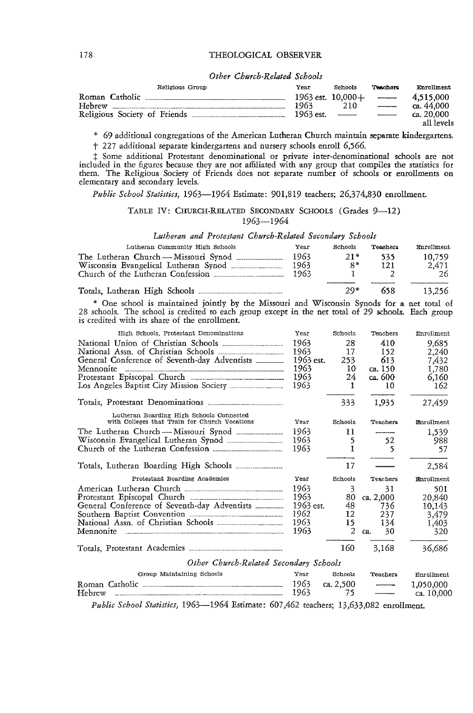#### 178 THEOLOGICAL OBSERVER

#### *Other Church-Related Schools*

| Religious Group              | Year      | Schools               | Teachers                                | Enrollment |
|------------------------------|-----------|-----------------------|-----------------------------------------|------------|
| Roman Catholic               |           | $1963$ est. $10,000+$ | <b>Constitution of the Constitution</b> | 4.515.000  |
| Hebrew                       | 1963      | 210                   | -----------                             | ca. 44.000 |
| Religious Society of Friends | 1963 est. |                       | -----------                             | ca. 20.000 |
|                              |           |                       |                                         | all levels |

\* 69 additional congregations of the American Lutheran Church maintain separate kindergartens.

t 227 additional separate kindergartens and nursery schools enroll 6,566.

t Some additional Protestant denominational or private inter-denominational schools are not included in the figures because they are not affiliated with any group that compiles the *statistics* for them. The Religious Society of Friends does not separate number of schools or enrollments on elementary and secondary levels.

*Public School Statistics,* 1963-1964 Estimate: 901,819 teachers; 26,374,830 enrollment.

#### TABLE IV: CHURCH-RELATED SECONDARY SCHOOLS (Grades 9-12) 1963-1964

*Lutheran and Protestant Church-Related Secondary Schools* 

| Lutheran Community High Schools                                                                                   | Year                 | Schools     | Teachers   | Enrollment            |
|-------------------------------------------------------------------------------------------------------------------|----------------------|-------------|------------|-----------------------|
| The Lutheran Church — Missouri Synod<br>Wisconsin Evangelical Lutheran Synod<br>Church of the Lutheran Confession | 1963<br>1963<br>1963 | $21*$<br>Ω* | 535<br>121 | 10.759<br>2.471<br>26 |
|                                                                                                                   |                      | $29*$       | 658        | 13.256                |

\* One school is maintained joindy by the Missouri and Wisconsin Synods for a net total of 28 schools. The school *is* credited to each group except in the net total of 29 schools. Each group *is* credited with its share of the enrollment.

| High Schools. Protestant Denominations                                                                                                                                                                                              | Year      | Schools   | Teachers        | Enrollment        |
|-------------------------------------------------------------------------------------------------------------------------------------------------------------------------------------------------------------------------------------|-----------|-----------|-----------------|-------------------|
|                                                                                                                                                                                                                                     | 1963      | 28        | 410             | 9,685             |
|                                                                                                                                                                                                                                     | 1963      | 17        | 152             | 2,240             |
| General Conference of Seventh-day Adventists                                                                                                                                                                                        | 1963 est. | 253       | 613             | 7,432             |
| Mennonite                                                                                                                                                                                                                           | 1963      | 10        | ca. 150         | 1,780             |
|                                                                                                                                                                                                                                     | 1963      | 24        | ca. 600         | 6,160             |
| Los Angeles Baptist City Mission Society                                                                                                                                                                                            | 1963      | 1.        | 10              | 162               |
| Totals, Protestant Denominations <b>contains</b> and the Total State of Total State of Total State of Total State of Total State of Total State of Total State of Total State of Total State of Total State of Total State of Total |           | 333       | 1,935           | 27,459            |
| Lutheran Boarding High Schools Connected<br>with Colleges that Train for Church Vocations                                                                                                                                           | Year      | Schools   | <b>Teachers</b> | Enrollment        |
| The Lutheran Church — Missouri Synod _______________                                                                                                                                                                                | 1963      | 11        |                 |                   |
|                                                                                                                                                                                                                                     | 1963      | 5         |                 | 1,539             |
|                                                                                                                                                                                                                                     | 1963      |           | 52<br>5         | 988               |
|                                                                                                                                                                                                                                     |           |           |                 | 57                |
|                                                                                                                                                                                                                                     |           | 17        |                 | 2,584             |
| Protestant Boarding Academies                                                                                                                                                                                                       | Year      | Schools   | <b>Teachers</b> | <b>Enrollment</b> |
| American Lutheran Church                                                                                                                                                                                                            | 1963      | 3         | 31              | 501               |
|                                                                                                                                                                                                                                     | 1963      |           | 80 ca. 2,000    | 20,840            |
| General Conference of Seventh-day Adventists ________                                                                                                                                                                               | 1963 est. | 48        | 736             | 10,143            |
| Southern Baptist Convention                                                                                                                                                                                                         | 1962      | 12        | 237             | 3,479             |
|                                                                                                                                                                                                                                     | 1963.     | 15        | 134             | 1,403             |
|                                                                                                                                                                                                                                     | 1963      | 2         | 30<br>ca.       | 320               |
| Totals, Protestant Academies                                                                                                                                                                                                        |           | 160       | 3.168           | 36,686            |
| Other Church-Related Secondary Schools                                                                                                                                                                                              |           |           |                 |                   |
| Group Maintaining Schools                                                                                                                                                                                                           | Year      | Schools   | Teachers        | Enrollment        |
|                                                                                                                                                                                                                                     | 1963      | ca. 2,500 |                 | 1,050,000         |
|                                                                                                                                                                                                                                     | 1963      | 75        |                 | ca. 10,000        |

*Public School Statistics,* 1963-1964 Estimate: 607,462 teachers; 13,633,082 enrollment.